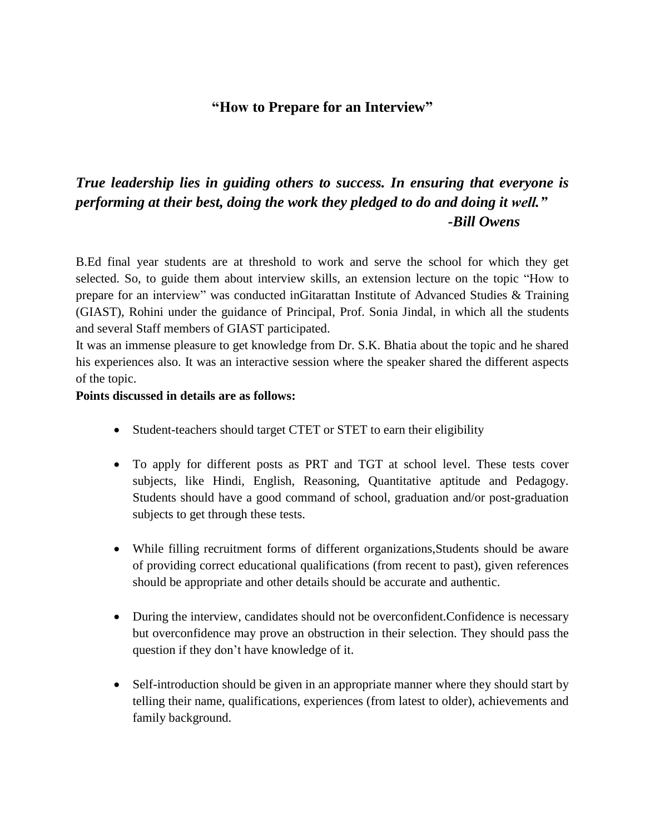## **"How to Prepare for an Interview"**

## *True leadership lies in guiding others to success. In ensuring that everyone is performing at their best, doing the work they pledged to do and doing it well." -Bill Owens*

B.Ed final year students are at threshold to work and serve the school for which they get selected. So, to guide them about interview skills, an extension lecture on the topic "How to prepare for an interview" was conducted inGitarattan Institute of Advanced Studies & Training (GIAST), Rohini under the guidance of Principal, Prof. Sonia Jindal, in which all the students and several Staff members of GIAST participated.

It was an immense pleasure to get knowledge from Dr. S.K. Bhatia about the topic and he shared his experiences also. It was an interactive session where the speaker shared the different aspects of the topic.

## **Points discussed in details are as follows:**

- Student-teachers should target CTET or STET to earn their eligibility
- To apply for different posts as PRT and TGT at school level. These tests cover subjects, like Hindi, English, Reasoning, Quantitative aptitude and Pedagogy. Students should have a good command of school, graduation and/or post-graduation subjects to get through these tests.
- While filling recruitment forms of different organizations,Students should be aware of providing correct educational qualifications (from recent to past), given references should be appropriate and other details should be accurate and authentic.
- During the interview, candidates should not be overconfident.Confidence is necessary but overconfidence may prove an obstruction in their selection. They should pass the question if they don't have knowledge of it.
- Self-introduction should be given in an appropriate manner where they should start by telling their name, qualifications, experiences (from latest to older), achievements and family background.